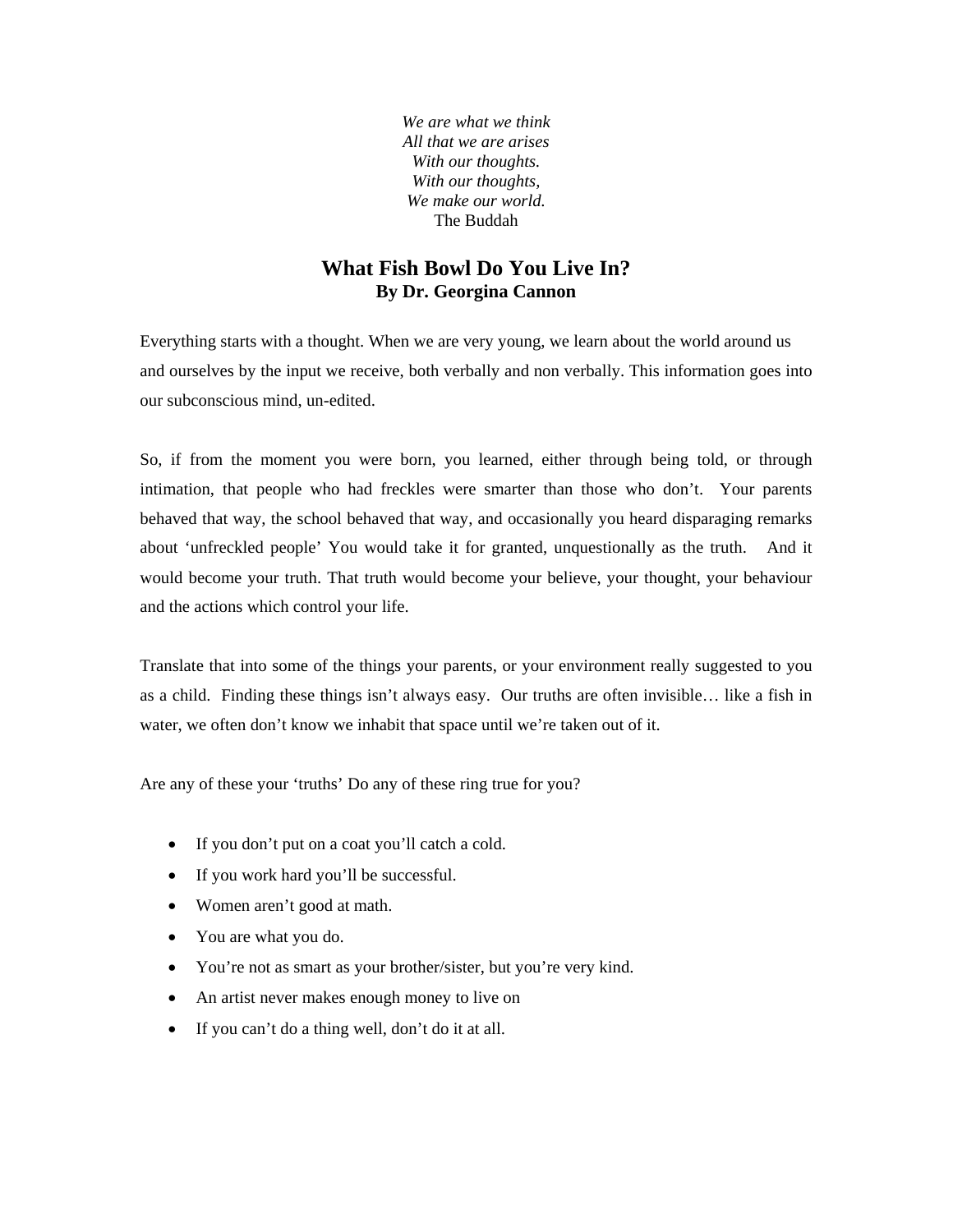*We are what we think All that we are arises With our thoughts. With our thoughts, We make our world.*  The Buddah

## **What Fish Bowl Do You Live In? By Dr. Georgina Cannon**

Everything starts with a thought. When we are very young, we learn about the world around us and ourselves by the input we receive, both verbally and non verbally. This information goes into our subconscious mind, un-edited.

So, if from the moment you were born, you learned, either through being told, or through intimation, that people who had freckles were smarter than those who don't. Your parents behaved that way, the school behaved that way, and occasionally you heard disparaging remarks about 'unfreckled people' You would take it for granted, unquestionally as the truth. And it would become your truth. That truth would become your believe, your thought, your behaviour and the actions which control your life.

Translate that into some of the things your parents, or your environment really suggested to you as a child. Finding these things isn't always easy. Our truths are often invisible… like a fish in water, we often don't know we inhabit that space until we're taken out of it.

Are any of these your 'truths' Do any of these ring true for you?

- If you don't put on a coat you'll catch a cold.
- If you work hard you'll be successful.
- Women aren't good at math.
- You are what you do.
- You're not as smart as your brother/sister, but you're very kind.
- An artist never makes enough money to live on
- If you can't do a thing well, don't do it at all.